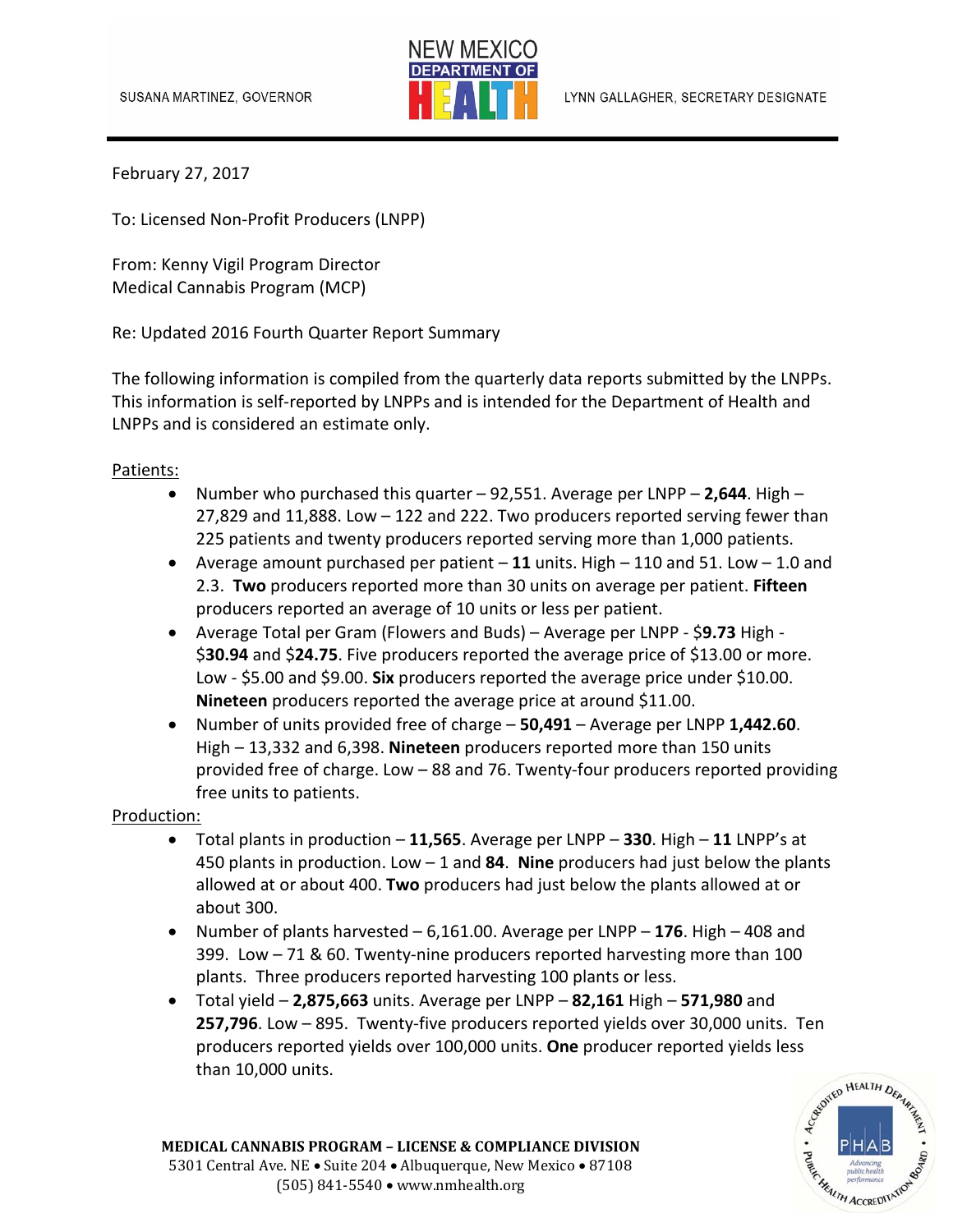

February 27, 2017

To: Licensed Non‐Profit Producers (LNPP)

From: Kenny Vigil Program Director Medical Cannabis Program (MCP)

Re: Updated 2016 Fourth Quarter Report Summary

The following information is compiled from the quarterly data reports submitted by the LNPPs. This information is self-reported by LNPPs and is intended for the Department of Health and LNPPs and is considered an estimate only.

## Patients:

- Number who purchased this quarter 92,551. Average per LNPP **2,644**. High 27,829 and 11,888. Low – 122 and 222. Two producers reported serving fewer than 225 patients and twenty producers reported serving more than 1,000 patients.
- Average amount purchased per patient **11** units. High 110 and 51. Low 1.0 and 2.3. **Two** producers reported more than 30 units on average per patient. **Fifteen**  producers reported an average of 10 units or less per patient.
- Average Total per Gram (Flowers and Buds) Average per LNPP ‐ \$**9.73** High ‐ \$**30.94** and \$**24.75**. Five producers reported the average price of \$13.00 or more. Low ‐ \$5.00 and \$9.00. **Six** producers reported the average price under \$10.00. **Nineteen** producers reported the average price at around \$11.00.
- Number of units provided free of charge **50,491** Average per LNPP **1,442.60**. High – 13,332 and 6,398. **Nineteen** producers reported more than 150 units provided free of charge. Low – 88 and 76. Twenty-four producers reported providing free units to patients.

## Production:

- Total plants in production **11,565**. Average per LNPP **330**. High **11** LNPP's at 450 plants in production. Low – 1 and **84**. **Nine** producers had just below the plants allowed at or about 400. **Two** producers had just below the plants allowed at or about 300.
- Number of plants harvested 6,161.00. Average per LNPP **176**. High 408 and 399. Low – 71 & 60. Twenty-nine producers reported harvesting more than 100 plants. Three producers reported harvesting 100 plants or less.
- Total yield **2,875,663** units. Average per LNPP **82,161** High **571,980** and **257,796**. Low – 895. Twenty-five producers reported yields over 30,000 units. Ten producers reported yields over 100,000 units. **One** producer reported yields less<br>than 10,000 units.<br>examples than 10,000 units. than 10,000 units.